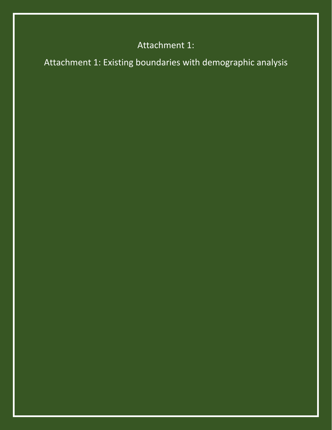# Attachment 1:

Attachment 1: Existing boundaries with demographic analysis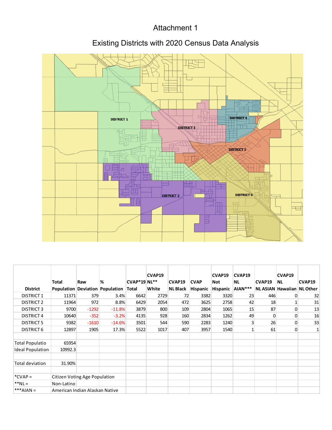### Attachment 1

## Existing Districts with 2020 Census Data Analysis



|                         |                                |         |                                 |                     | CVAP19 |                 |             | CVAP19   | CVAP19       |          | CVAP19                            |        |
|-------------------------|--------------------------------|---------|---------------------------------|---------------------|--------|-----------------|-------------|----------|--------------|----------|-----------------------------------|--------|
|                         | <b>Total</b>                   | Raw     | %                               | <b>CVAP*19 NL**</b> |        | CVAP19          | <b>CVAP</b> | Not      | <b>NL</b>    | CVAP19   | <b>NL</b>                         | CVAP19 |
| <b>District</b>         |                                |         | Population Deviation Population | Total               | White  | <b>NL Black</b> | Hispanic    | Hispanic | AIAN***      |          | <b>NL ASIAN Hawaiian NL Other</b> |        |
| <b>DISTRICT 1</b>       | 11371                          | 379     | 3.4%                            | 6642                | 2729   | 72              | 3382        | 3320     | 23           | 446      | 0                                 | 32     |
| <b>DISTRICT 2</b>       | 11964                          | 972     | 8.8%                            | 6429                | 2054   | 472             | 3625        | 2758     | 42           | 18       |                                   | 31     |
| <b>DISTRICT 3</b>       | 9700                           | $-1292$ | $-11.8%$                        | 3879                | 800    | 109             | 2804        | 1065     | 15           | 87       | 0                                 | 13     |
| <b>DISTRICT 4</b>       | 10640                          | $-352$  | $-3.2%$                         | 4135                | 928    | 160             | 2834        | 1262     | 49           | $\Omega$ | 0                                 | 16     |
| <b>DISTRICT 5</b>       | 9382                           | $-1610$ | $-14.6%$                        | 3501                | 544    | 590             | 2283        | 1240     | 3            | 26       | 0                                 | 33     |
| <b>DISTRICT 6</b>       | 12897                          | 1905    | 17.3%                           | 5522                | 1017   | 407             | 3957        | 1540     | $\mathbf{1}$ | 61       | 0                                 | 1      |
|                         |                                |         |                                 |                     |        |                 |             |          |              |          |                                   |        |
| <b>Total Populatio</b>  | 65954                          |         |                                 |                     |        |                 |             |          |              |          |                                   |        |
| <b>Ideal Population</b> | 10992.3                        |         |                                 |                     |        |                 |             |          |              |          |                                   |        |
|                         |                                |         |                                 |                     |        |                 |             |          |              |          |                                   |        |
| <b>Total deviation</b>  | 31.90%                         |         |                                 |                     |        |                 |             |          |              |          |                                   |        |
|                         |                                |         |                                 |                     |        |                 |             |          |              |          |                                   |        |
| $*CVAP =$               | Citizen Voting Age Population  |         |                                 |                     |        |                 |             |          |              |          |                                   |        |
| $**NL =$                | Non-Latino                     |         |                                 |                     |        |                 |             |          |              |          |                                   |        |
| $***AIAN =$             | American Indian Alaskan Native |         |                                 |                     |        |                 |             |          |              |          |                                   |        |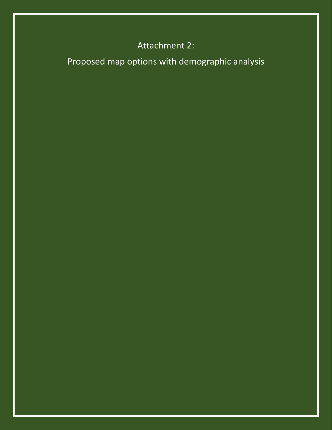# Attachment 2:

Proposed map options with demographic analysis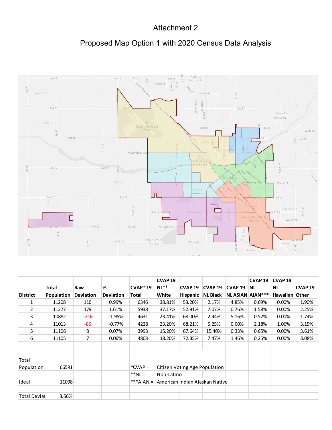#### Attachment 2

## Proposed Map Option 1 with 2020 Census Data Analysis



|                     |                   |                  |                  |              | <b>CVAP 19</b> |                 |                                |                        | <b>CVAP 19</b> | CVAP <sub>19</sub> |                          |
|---------------------|-------------------|------------------|------------------|--------------|----------------|-----------------|--------------------------------|------------------------|----------------|--------------------|--------------------------|
|                     | <b>Total</b>      | Raw              | %                | $CVAP*19$    | $NL**$         | <b>CVAP 19</b>  | CVAP <sub>19</sub>             | CVAP <sub>19</sub>     | <b>NL</b>      | <b>NL</b>          | <b>CVAP<sub>19</sub></b> |
| <b>District</b>     | <b>Population</b> | <b>Deviation</b> | <b>Deviation</b> | <b>Total</b> | White          | <b>Hispanic</b> | <b>NL Black</b>                | <b>NLASIAN AIAN***</b> |                | Hawaiian Other     |                          |
| 1                   | 11208             | 110              | 0.99%            | 6346         | 38.81%         | 53.20%          | 2.17%                          | 4.85%                  | 0.69%          | 0.00%              | 1.90%                    |
| $\overline{2}$      | 11277             | 179              | 1.61%            | 5938         | 37.17%         | 52.91%          | 7.07%                          | 0.76%                  | 1.58%          | 0.00%              | 2.25%                    |
| 3                   | 10882             | $-216$           | $-1.95%$         | 4631         | 23.41%         | 68.00%          | 2.44%                          | 5.16%                  | 0.52%          | $0.00\%$           | 1.74%                    |
| 4                   | 11013             | $-85$            | $-0.77%$         | 4228         | 23.20%         | 68.21%          | 5.25%                          | 0.00%                  | 2.18%          | 1.06%              | 3.15%                    |
| 5                   | 11106             | 8                | $0.07\%$         | 3993         | 15.20%         | 67.64%          | 15.40%                         | 0.33%                  | 0.65%          | $0.00\%$           | 3.61%                    |
| 6                   | 11105             | 7                | 0.06%            | 4803         | 18.20%         | 72.35%          | 7.47%                          | 1.46%                  | 0.25%          | $0.00\%$           | 3.08%                    |
|                     |                   |                  |                  |              |                |                 |                                |                        |                |                    |                          |
|                     |                   |                  |                  |              |                |                 |                                |                        |                |                    |                          |
| Total               |                   |                  |                  |              |                |                 |                                |                        |                |                    |                          |
| Population          | 66591             |                  |                  | $*CVAP =$    |                |                 | Citizen Voting Age Population  |                        |                |                    |                          |
|                     |                   |                  |                  | $**NL =$     | Non-Latino     |                 |                                |                        |                |                    |                          |
| Ideal               | 11098             |                  |                  | $***AIAN =$  |                |                 | American Indian Alaskan Native |                        |                |                    |                          |
|                     |                   |                  |                  |              |                |                 |                                |                        |                |                    |                          |
| <b>Total Devial</b> | 3.56%             |                  |                  |              |                |                 |                                |                        |                |                    |                          |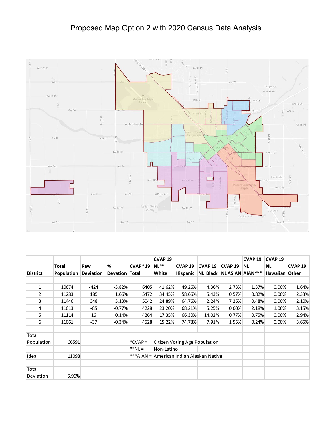## Proposed Map Option 2 with 2020 Census Data Analysis



|                 |                   |           |                       |                | <b>CVAP 19</b> |                                          |                    |                               | <b>CVAP19</b> | <b>CVAP<sub>19</sub></b> |                          |
|-----------------|-------------------|-----------|-----------------------|----------------|----------------|------------------------------------------|--------------------|-------------------------------|---------------|--------------------------|--------------------------|
|                 | <b>Total</b>      | Raw       | %                     | <b>CVAP*19</b> | $NL**$         | CVAP <sub>19</sub>                       | CVAP <sub>19</sub> | <b>CVAP19</b>                 | NL.           | <b>NL</b>                | <b>CVAP<sub>19</sub></b> |
| <b>District</b> | <b>Population</b> | Deviation | <b>Devation Total</b> |                | White          | <b>Hispanic</b>                          |                    | NL Black   NL ASIAN   AIAN*** |               | Hawaiian Other           |                          |
|                 |                   |           |                       |                |                |                                          |                    |                               |               |                          |                          |
| 1               | 10674             | -424      | $-3.82%$              | 6405           | 41.62%         | 49.26%                                   | 4.36%              | 2.73%                         | 1.37%         | 0.00%                    | 1.64%                    |
| $\overline{2}$  | 11283             | 185       | 1.66%                 | 5472           | 34.45%         | 58.66%                                   | 5.43%              | 0.57%                         | 0.82%         | 0.00%                    | 2.33%                    |
| 3               | 11446             | 348       | 3.13%                 | 5042           | 24.89%         | 64.76%                                   | 2.24%              | 7.26%                         | 0.48%         | 0.00%                    | 2.10%                    |
| 4               | 11013             | -85       | $-0.77%$              | 4228           | 23.20%         | 68.21%                                   | 5.25%              | 0.00%                         | 2.18%         | 1.06%                    | 3.15%                    |
| 5               | 11114             | 16        | 0.14%                 | 4264           | 17.35%         | 66.30%                                   | 14.02%             | 0.77%                         | 0.75%         | 0.00%                    | 2.94%                    |
| 6               | 11061             | $-37$     | $-0.34%$              | 4528           | 15.22%         | 74.78%                                   | 7.91%              | 1.55%                         | 0.24%         | 0.00%                    | 3.65%                    |
|                 |                   |           |                       |                |                |                                          |                    |                               |               |                          |                          |
| Total           |                   |           |                       |                |                |                                          |                    |                               |               |                          |                          |
| Population      | 66591             |           |                       | $^*$ CVAP =    |                | Citizen Voting Age Population            |                    |                               |               |                          |                          |
|                 |                   |           |                       | $**NL =$       | Non-Latino     |                                          |                    |                               |               |                          |                          |
| Ideal           | 11098             |           |                       |                |                | ***AIAN = American Indian Alaskan Native |                    |                               |               |                          |                          |
|                 |                   |           |                       |                |                |                                          |                    |                               |               |                          |                          |
| Total           |                   |           |                       |                |                |                                          |                    |                               |               |                          |                          |
| Deviation       | 6.96%             |           |                       |                |                |                                          |                    |                               |               |                          |                          |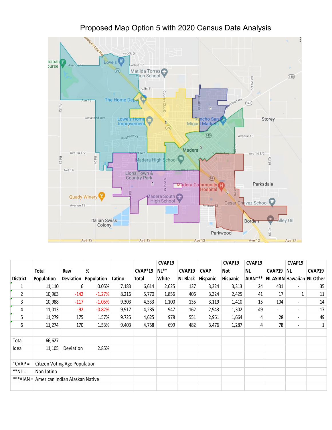

|                 |                                          |                  |            |        |                | CVAP19 |                 |             | CVAP19   | CVAP19    |                              | CVAP19                   |                            |
|-----------------|------------------------------------------|------------------|------------|--------|----------------|--------|-----------------|-------------|----------|-----------|------------------------------|--------------------------|----------------------------|
|                 | Total                                    | Raw              | %          |        | <b>CVAP*19</b> | $NL**$ | CVAP19          | <b>CVAP</b> | Not      | <b>NL</b> | CVAP19                       | NL.                      | CVAP19                     |
| <b>District</b> | Population                               | <b>Deviation</b> | Population | Latino | Total          | White  | <b>NL Black</b> | Hispanic    | Hispanic | AIAN***   |                              |                          | NL ASIAN Hawaiian NL Other |
| 1               | 11,110                                   | 6                | 0.05%      | 7,183  | 6,614          | 2,625  | 137             | 3,324       | 3,313    | 24        | 431                          | $\blacksquare$           | 35                         |
| 2               | 10,963                                   | $-142$           | $-1.27%$   | 8,216  | 5,770          | 1,856  | 406             | 3,324       | 2,425    | 41        | 17                           | 1                        | 11                         |
| 3               | 10,988                                   | $-117$           | $-1.05%$   | 9,303  | 4,533          | 1,100  | 135             | 3,119       | 1,410    | 15        | 104                          | $\blacksquare$           | 14                         |
| 4               | 11,013                                   | $-92$            | $-0.82%$   | 9,917  | 4,285          | 947    | 162             | 2,943       | 1,302    | 49        | $\qquad \qquad \blacksquare$ | $\overline{\phantom{a}}$ | 17                         |
| 5               | 11,279                                   | 175              | 1.57%      | 9,725  | 4,625          | 978    | 551             | 2,961       | 1,664    | 4         | 28                           | $\overline{\phantom{a}}$ | 49                         |
| 6               | 11,274                                   | 170              | 1.53%      | 9,403  | 4,758          | 699    | 482             | 3,476       | 1,287    | 4         | 78                           | $\overline{\phantom{a}}$ | $\mathbf{1}$               |
|                 |                                          |                  |            |        |                |        |                 |             |          |           |                              |                          |                            |
| Total           | 66,627                                   |                  |            |        |                |        |                 |             |          |           |                              |                          |                            |
| Ideal           | 11,105                                   | Deviation        | 2.85%      |        |                |        |                 |             |          |           |                              |                          |                            |
|                 |                                          |                  |            |        |                |        |                 |             |          |           |                              |                          |                            |
| $*CVAP =$       | Citizen Voting Age Population            |                  |            |        |                |        |                 |             |          |           |                              |                          |                            |
| $*h$ NL =       | Non Latino                               |                  |            |        |                |        |                 |             |          |           |                              |                          |                            |
|                 | ***AIAN = American Indian Alaskan Native |                  |            |        |                |        |                 |             |          |           |                              |                          |                            |
|                 |                                          |                  |            |        |                |        |                 |             |          |           |                              |                          |                            |